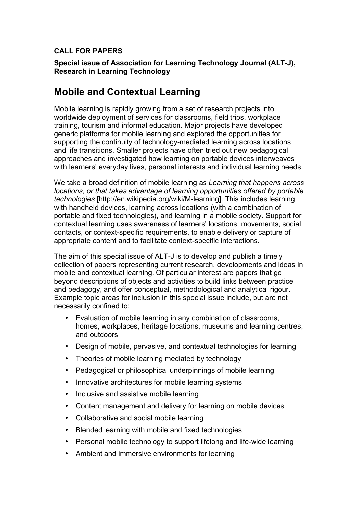## **CALL FOR PAPERS**

**Special issue of Association for Learning Technology Journal (ALT-J), Research in Learning Technology**

# **Mobile and Contextual Learning**

Mobile learning is rapidly growing from a set of research projects into worldwide deployment of services for classrooms, field trips, workplace training, tourism and informal education. Major projects have developed generic platforms for mobile learning and explored the opportunities for supporting the continuity of technology-mediated learning across locations and life transitions. Smaller projects have often tried out new pedagogical approaches and investigated how learning on portable devices interweaves with learners' everyday lives, personal interests and individual learning needs.

We take a broad definition of mobile learning as *Learning that happens across locations, or that takes advantage of learning opportunities offered by portable technologies* [http://en.wikipedia.org/wiki/M-learning]*.* This includes learning with handheld devices, learning across locations (with a combination of portable and fixed technologies), and learning in a mobile society. Support for contextual learning uses awareness of learners' locations, movements, social contacts, or context-specific requirements, to enable delivery or capture of appropriate content and to facilitate context-specific interactions.

The aim of this special issue of ALT-J is to develop and publish a timely collection of papers representing current research, developments and ideas in mobile and contextual learning. Of particular interest are papers that go beyond descriptions of objects and activities to build links between practice and pedagogy, and offer conceptual, methodological and analytical rigour. Example topic areas for inclusion in this special issue include, but are not necessarily confined to:

- Evaluation of mobile learning in any combination of classrooms, homes, workplaces, heritage locations, museums and learning centres, and outdoors
- Design of mobile, pervasive, and contextual technologies for learning
- Theories of mobile learning mediated by technology
- Pedagogical or philosophical underpinnings of mobile learning
- Innovative architectures for mobile learning systems
- Inclusive and assistive mobile learning
- Content management and delivery for learning on mobile devices
- Collaborative and social mobile learning
- Blended learning with mobile and fixed technologies
- Personal mobile technology to support lifelong and life-wide learning
- Ambient and immersive environments for learning